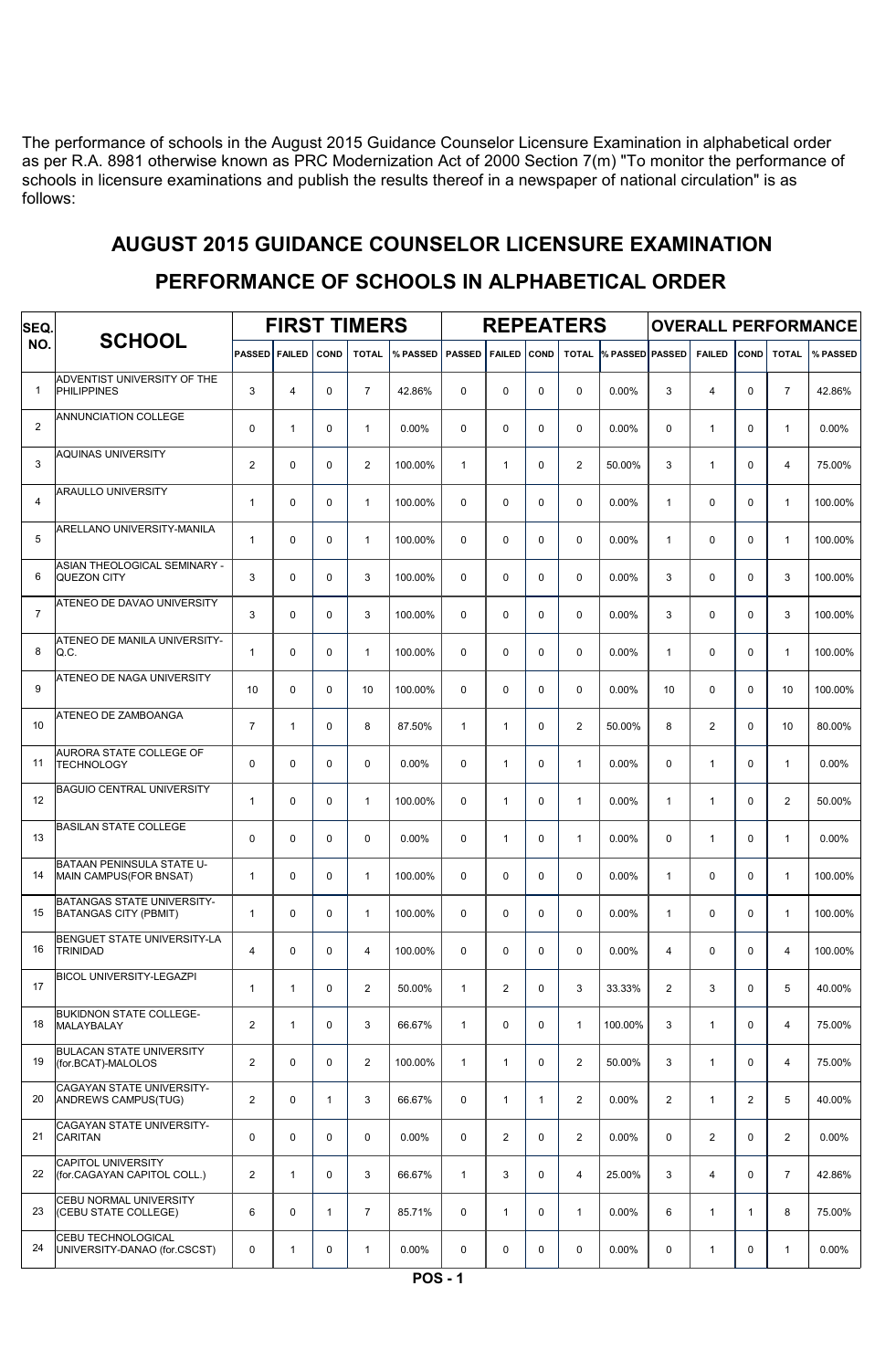The performance of schools in the August 2015 Guidance Counselor Licensure Examination in alphabetical order as per R.A. 8981 otherwise known as PRC Modernization Act of 2000 Section 7(m) "To monitor the performance of schools in licensure examinations and publish the results thereof in a newspaper of national circulation" is as follows:

# AUGUST 2015 GUIDANCE COUNSELOR LICENSURE EXAMINATION

| SEQ.           |                                                            |                | <b>FIRST TIMERS</b> |              |                | <b>REPEATERS</b> |               | <b>OVERALL PERFORMANCE</b> |              |                |                 |              |                |              |                |          |
|----------------|------------------------------------------------------------|----------------|---------------------|--------------|----------------|------------------|---------------|----------------------------|--------------|----------------|-----------------|--------------|----------------|--------------|----------------|----------|
| NO.            | <b>SCHOOL</b>                                              | PASSED FAILED  |                     | <b>COND</b>  | <b>TOTAL</b>   | % PASSED         | <b>PASSED</b> | <b>FAILED</b>              | <b>COND</b>  | <b>TOTAL</b>   | % PASSED PASSED |              | <b>FAILED</b>  | <b>COND</b>  | <b>TOTAL</b>   | % PASSED |
| $\mathbf{1}$   | ADVENTIST UNIVERSITY OF THE<br><b>PHILIPPINES</b>          | 3              | 4                   | $\mathbf 0$  | $\overline{7}$ | 42.86%           | 0             | 0                          | 0            | $\mathbf 0$    | 0.00%           | 3            | 4              | $\Omega$     | $\overline{7}$ | 42.86%   |
| $\overline{2}$ | ANNUNCIATION COLLEGE                                       | $\mathbf 0$    | $\mathbf{1}$        | $\mathbf 0$  | $\mathbf{1}$   | 0.00%            | 0             | $\mathbf 0$                | 0            | $\mathbf 0$    | 0.00%           | $\mathbf 0$  | $\mathbf{1}$   | $\mathbf 0$  | $\mathbf{1}$   | 0.00%    |
| 3              | <b>AQUINAS UNIVERSITY</b>                                  | $\mathbf{2}$   | 0                   | $\mathbf 0$  | $\overline{2}$ | 100.00%          | $\mathbf{1}$  | $\mathbf{1}$               | 0            | $\overline{2}$ | 50.00%          | 3            | $\mathbf{1}$   | $\Omega$     | $\overline{4}$ | 75.00%   |
| $\overline{4}$ | <b>ARAULLO UNIVERSITY</b>                                  | $\mathbf{1}$   | 0                   | $\mathbf 0$  | $\mathbf{1}$   | 100.00%          | 0             | $\mathbf 0$                | 0            | $\mathbf 0$    | 0.00%           | $\mathbf{1}$ | 0              | 0            | $\mathbf{1}$   | 100.00%  |
| 5              | ARELLANO UNIVERSITY-MANILA                                 | $\mathbf{1}$   | 0                   | $\mathbf 0$  | $\mathbf{1}$   | 100.00%          | 0             | 0                          | 0            | $\mathbf 0$    | 0.00%           | $\mathbf{1}$ | 0              | $\mathbf 0$  | $\mathbf{1}$   | 100.00%  |
| 6              | ASIAN THEOLOGICAL SEMINARY -<br><b>QUEZON CITY</b>         | 3              | 0                   | $\mathbf 0$  | 3              | 100.00%          | 0             | 0                          | 0            | $\mathbf 0$    | 0.00%           | 3            | 0              | $\mathbf 0$  | 3              | 100.00%  |
| $\overline{7}$ | ATENEO DE DAVAO UNIVERSITY                                 | 3              | 0                   | $\mathbf 0$  | 3              | 100.00%          | $\mathbf 0$   | $\mathbf 0$                | 0            | $\mathbf 0$    | 0.00%           | 3            | 0              | $\Omega$     | 3              | 100.00%  |
| 8              | ATENEO DE MANILA UNIVERSITY-<br>Q.C.                       | $\mathbf{1}$   | 0                   | $\mathbf 0$  | $\mathbf{1}$   | 100.00%          | $\Omega$      | $\Omega$                   | 0            | $\mathbf 0$    | 0.00%           | $\mathbf{1}$ | $\Omega$       | $\Omega$     | $\mathbf{1}$   | 100.00%  |
| 9              | ATENEO DE NAGA UNIVERSITY                                  | 10             | 0                   | $\mathbf 0$  | 10             | 100.00%          | $\Omega$      | $\Omega$                   | 0            | $\mathbf 0$    | 0.00%           | 10           | $\Omega$       | $\Omega$     | 10             | 100.00%  |
| 10             | ATENEO DE ZAMBOANGA                                        | $\overline{7}$ | $\mathbf{1}$        | $\mathbf 0$  | 8              | 87.50%           | $\mathbf{1}$  | $\mathbf{1}$               | 0            | $\overline{2}$ | 50.00%          | 8            | $\overline{2}$ | $\mathbf 0$  | 10             | 80.00%   |
| 11             | AURORA STATE COLLEGE OF<br><b>TECHNOLOGY</b>               | $\mathbf 0$    | 0                   | $\mathbf 0$  | $\mathbf 0$    | 0.00%            | $\mathbf 0$   | $\mathbf{1}$               | 0            | $\mathbf{1}$   | 0.00%           | $\mathbf 0$  | $\mathbf{1}$   | $\Omega$     | $\mathbf{1}$   | 0.00%    |
| 12             | <b>BAGUIO CENTRAL UNIVERSITY</b>                           | $\mathbf{1}$   | 0                   | $\mathbf 0$  | $\mathbf{1}$   | 100.00%          | $\mathbf 0$   | $\mathbf{1}$               | $\mathbf 0$  | $\mathbf{1}$   | 0.00%           | $\mathbf{1}$ | $\mathbf{1}$   | 0            | $\overline{2}$ | 50.00%   |
| 13             | <b>BASILAN STATE COLLEGE</b>                               | $\mathbf 0$    | 0                   | $\mathbf 0$  | $\mathbf 0$    | 0.00%            | $\mathbf 0$   | $\mathbf{1}$               | $\mathbf 0$  | $\mathbf{1}$   | 0.00%           | 0            | $\mathbf{1}$   | $\Omega$     | $\mathbf{1}$   | 0.00%    |
| 14             | BATAAN PENINSULA STATE U-<br>MAIN CAMPUS(FOR BNSAT)        | $\mathbf{1}$   | 0                   | $\mathbf 0$  | $\mathbf{1}$   | 100.00%          | $\mathbf 0$   | $\mathbf 0$                | 0            | $\mathbf 0$    | 0.00%           | $\mathbf{1}$ | 0              | $\mathbf 0$  | $\mathbf{1}$   | 100.00%  |
| 15             | BATANGAS STATE UNIVERSITY-<br><b>BATANGAS CITY (PBMIT)</b> | $\mathbf{1}$   | 0                   | $\mathbf 0$  | $\mathbf{1}$   | 100.00%          | $\Omega$      | $\mathbf 0$                | 0            | $\mathbf 0$    | 0.00%           | $\mathbf{1}$ | $\mathbf 0$    | $\Omega$     | $\mathbf{1}$   | 100.00%  |
| 16             | BENGUET STATE UNIVERSITY-LA<br><b>TRINIDAD</b>             | $\overline{4}$ | 0                   | $\Omega$     | 4              | 100.00%          | $\Omega$      | $\Omega$                   | 0            | $\mathbf 0$    | 0.00%           | 4            | $\Omega$       | $\Omega$     | 4              | 100.00%  |
| 17             | BICOL UNIVERSITY-LEGAZPI                                   | $\mathbf{1}$   | $\mathbf{1}$        | $\mathbf 0$  | $\overline{2}$ | 50.00%           | $\mathbf{1}$  | 2                          | 0            | 3              | 33.33%          | 2            | 3              | $\mathbf 0$  | 5              | 40.00%   |
| 18             | BUKIDNON STATE COLLEGE-<br><b>MALAYBALAY</b>               | $\overline{2}$ | $\mathbf{1}$        | $\mathbf 0$  | 3              | 66.67%           | $\mathbf{1}$  | $\mathbf 0$                | 0            | $\mathbf{1}$   | 100.00%         | 3            | $\mathbf{1}$   | $\mathbf 0$  | 4              | 75.00%   |
| 19             | BULACAN STATE UNIVERSITY<br>(for.BCAT)-MALOLOS             | $\overline{2}$ | 0                   | 0            | $\overline{2}$ | 100.00%          | $\mathbf{1}$  | $\mathbf{1}$               | 0            | $\overline{2}$ | 50.00%          | 3            | $\mathbf{1}$   | $\mathbf 0$  | 4              | 75.00%   |
| 20             | CAGAYAN STATE UNIVERSITY-<br>ANDREWS CAMPUS(TUG)           | $\overline{2}$ | 0                   | $\mathbf{1}$ | 3              | 66.67%           | 0             | $\mathbf{1}$               | $\mathbf{1}$ | $\overline{2}$ | $0.00\%$        | 2            | $\mathbf{1}$   | 2            | 5              | 40.00%   |
| 21             | CAGAYAN STATE UNIVERSITY-<br><b>CARITAN</b>                | 0              | 0                   | $\mathbf 0$  | $\mathbf 0$    | $0.00\%$         | 0             | $\overline{2}$             | $\mathbf 0$  | $\overline{2}$ | $0.00\%$        | $\mathbf 0$  | $\overline{2}$ | $\mathbf 0$  | $\overline{2}$ | $0.00\%$ |
| 22             | CAPITOL UNIVERSITY<br>(for.CAGAYAN CAPITOL COLL.)          | $\overline{2}$ | $\mathbf{1}$        | $\mathbf 0$  | 3              | 66.67%           | $\mathbf{1}$  | 3                          | $\mathbf 0$  | $\overline{4}$ | 25.00%          | 3            | $\overline{4}$ | $\mathbf 0$  | $\overline{7}$ | 42.86%   |
| 23             | CEBU NORMAL UNIVERSITY<br>(CEBU STATE COLLEGE)             | 6              | 0                   | $\mathbf{1}$ | $\overline{7}$ | 85.71%           | 0             | $\mathbf{1}$               | $\mathbf 0$  | $\mathbf{1}$   | $0.00\%$        | 6            | $\mathbf{1}$   | $\mathbf{1}$ | 8              | 75.00%   |
| 24             | CEBU TECHNOLOGICAL<br>UNIVERSITY-DANAO (for.CSCST)         | 0              | 1                   | 0            | $\mathbf{1}$   | $0.00\%$         | 0             | 0                          | 0            | 0              | $0.00\%$        | 0            | $\mathbf{1}$   | 0            | $\mathbf{1}$   | $0.00\%$ |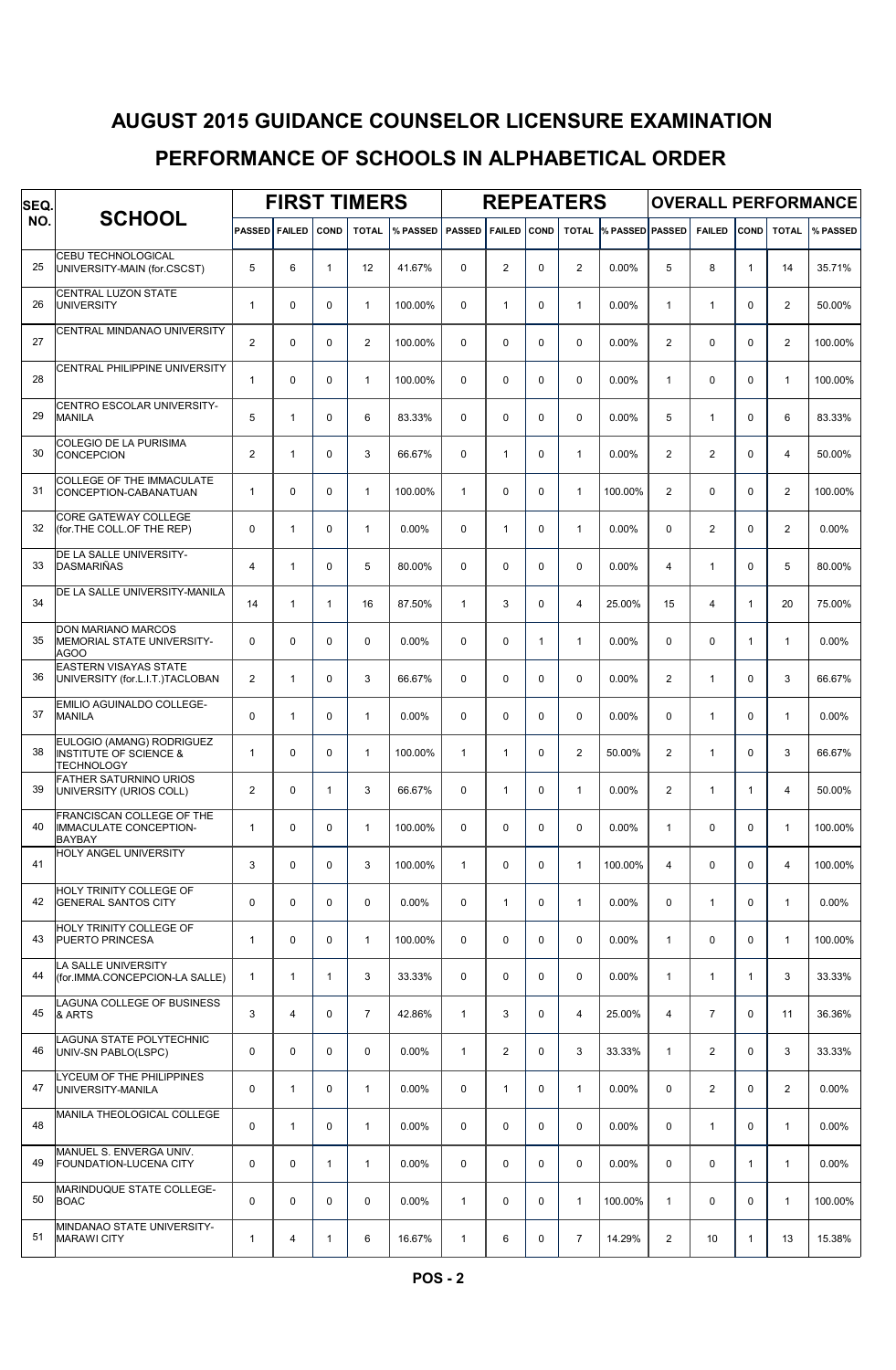| SEQ. |                                                                                     | <b>FIRST TIMERS</b> |               |              |                |          |               |               |              | <b>REPEATERS</b> |                 | <b>OVERALL PERFORMANCE</b> |                |              |                         |          |  |
|------|-------------------------------------------------------------------------------------|---------------------|---------------|--------------|----------------|----------|---------------|---------------|--------------|------------------|-----------------|----------------------------|----------------|--------------|-------------------------|----------|--|
| NO.  | <b>SCHOOL</b>                                                                       | <b>PASSED</b>       | <b>FAILED</b> | <b>COND</b>  | <b>TOTAL</b>   | % PASSED | <b>PASSED</b> | <b>FAILED</b> | COND         | <b>TOTAL</b>     | % PASSED PASSED |                            | <b>FAILED</b>  | COND         | <b>TOTAL</b>            | % PASSED |  |
| 25   | <b>CEBU TECHNOLOGICAL</b><br>UNIVERSITY-MAIN (for.CSCST)                            | 5                   | 6             | $\mathbf{1}$ | 12             | 41.67%   | $\Omega$      | 2             | $\mathbf 0$  | $\overline{2}$   | 0.00%           | 5                          | 8              | $\mathbf{1}$ | 14                      | 35.71%   |  |
| 26   | CENTRAL LUZON STATE<br><b>UNIVERSITY</b>                                            | $\mathbf{1}$        | 0             | 0            | $\mathbf{1}$   | 100.00%  | $\Omega$      | $\mathbf{1}$  | $\mathbf 0$  | $\mathbf{1}$     | 0.00%           | $\mathbf{1}$               | $\mathbf{1}$   | $\Omega$     | $\overline{2}$          | 50.00%   |  |
| 27   | CENTRAL MINDANAO UNIVERSITY                                                         | $\overline{2}$      | 0             | 0            | $\overline{2}$ | 100.00%  | $\Omega$      | 0             | $\mathbf 0$  | 0                | 0.00%           | 2                          | $\mathbf 0$    | $\Omega$     | $\overline{c}$          | 100.00%  |  |
| 28   | CENTRAL PHILIPPINE UNIVERSITY                                                       | $\mathbf{1}$        | 0             | 0            | $\mathbf{1}$   | 100.00%  | $\Omega$      | 0             | $\mathbf 0$  | $\mathbf 0$      | 0.00%           | $\mathbf{1}$               | $\mathbf 0$    | $\Omega$     | $\mathbf{1}$            | 100.00%  |  |
| 29   | CENTRO ESCOLAR UNIVERSITY-<br><b>MANILA</b>                                         | 5                   | 1             | 0            | 6              | 83.33%   | $\Omega$      | 0             | $\mathbf 0$  | $\mathbf 0$      | 0.00%           | 5                          | $\mathbf{1}$   | $\Omega$     | 6                       | 83.33%   |  |
| 30   | COLEGIO DE LA PURISIMA<br><b>CONCEPCION</b>                                         | 2                   | $\mathbf{1}$  | 0            | 3              | 66.67%   | $\Omega$      | $\mathbf{1}$  | $\mathbf 0$  | $\mathbf{1}$     | 0.00%           | $\overline{2}$             | $\overline{2}$ | $\Omega$     | 4                       | 50.00%   |  |
| 31   | <b>COLLEGE OF THE IMMACULATE</b><br>CONCEPTION-CABANATUAN                           | $\mathbf{1}$        | $\mathbf 0$   | 0            | $\mathbf{1}$   | 100.00%  | $\mathbf{1}$  | 0             | $\mathbf 0$  | $\mathbf{1}$     | 100.00%         | $\overline{2}$             | $\mathbf 0$    | $\Omega$     | $\overline{\mathbf{c}}$ | 100.00%  |  |
| 32   | <b>CORE GATEWAY COLLEGE</b><br>(for.THE COLL.OF THE REP)                            | $\mathbf 0$         | $\mathbf{1}$  | $\mathbf 0$  | $\mathbf{1}$   | 0.00%    | $\mathbf 0$   | $\mathbf{1}$  | $\mathbf 0$  | $\mathbf{1}$     | 0.00%           | $\mathbf 0$                | $\overline{2}$ | $\mathbf 0$  | $\overline{a}$          | 0.00%    |  |
| 33   | DE LA SALLE UNIVERSITY-<br><b>DASMARIÑAS</b>                                        | $\overline{4}$      | 1             | 0            | 5              | 80.00%   | $\Omega$      | 0             | $\mathbf 0$  | $\mathbf 0$      | 0.00%           | $\overline{4}$             | $\mathbf{1}$   | $\Omega$     | 5                       | 80.00%   |  |
| 34   | DE LA SALLE UNIVERSITY-MANILA                                                       | 14                  | $\mathbf{1}$  | $\mathbf{1}$ | 16             | 87.50%   | $\mathbf{1}$  | 3             | $\mathbf 0$  | 4                | 25.00%          | 15                         | 4              | $\mathbf{1}$ | 20                      | 75.00%   |  |
| 35   | DON MARIANO MARCOS<br>MEMORIAL STATE UNIVERSITY-<br>AGOO                            | $\mathbf 0$         | 0             | 0            | $\mathbf 0$    | 0.00%    | $\Omega$      | 0             | $\mathbf{1}$ | 1                | 0.00%           | 0                          | $\mathbf 0$    | 1            | 1                       | 0.00%    |  |
| 36   | <b>EASTERN VISAYAS STATE</b><br>UNIVERSITY (for.L.I.T.)TACLOBAN                     | 2                   | $\mathbf{1}$  | 0            | 3              | 66.67%   | $\Omega$      | 0             | $\mathbf 0$  | $\mathbf 0$      | 0.00%           | $\overline{2}$             | $\mathbf{1}$   | $\Omega$     | 3                       | 66.67%   |  |
| 37   | EMILIO AGUINALDO COLLEGE-<br><b>MANILA</b>                                          | $\mathbf 0$         | 1             | 0            | $\mathbf{1}$   | 0.00%    | $\Omega$      | 0             | $\mathbf 0$  | $\mathbf 0$      | 0.00%           | 0                          | $\mathbf{1}$   | $\Omega$     | 1                       | 0.00%    |  |
| 38   | EULOGIO (AMANG) RODRIGUEZ<br><b>INSTITUTE OF SCIENCE &amp;</b><br><b>TECHNOLOGY</b> | $\mathbf{1}$        | 0             | 0            | $\mathbf{1}$   | 100.00%  | $\mathbf{1}$  | $\mathbf{1}$  | $\mathbf 0$  | $\overline{2}$   | 50.00%          | $\overline{2}$             | $\mathbf{1}$   | $\Omega$     | 3                       | 66.67%   |  |
| 39   | <b>FATHER SATURNINO URIOS</b><br>UNIVERSITY (URIOS COLL)                            | $\overline{2}$      | 0             | $\mathbf{1}$ | 3              | 66.67%   | $\mathbf 0$   | 1             | $\mathbf 0$  | $\mathbf{1}$     | 0.00%           | 2                          | $\mathbf{1}$   | 1            | 4                       | 50.00%   |  |
| 40   | FRANCISCAN COLLEGE OF THE<br><b>IMMACULATE CONCEPTION-</b><br>BAYBAY                | $\mathbf{1}$        | $\mathbf 0$   | $\mathbf 0$  | $\mathbf{1}$   | 100.00%  | $\Omega$      | 0             | $\pmb{0}$    | 0                | 0.00%           | $\mathbf{1}$               | 0              | 0            | $\mathbf{1}$            | 100.00%  |  |
| 41   | HOLY ANGEL UNIVERSITY                                                               | 3                   | 0             | 0            | 3              | 100.00%  | $\mathbf{1}$  | $\mathbf 0$   | $\mathbf 0$  | $\mathbf{1}$     | 100.00%         | 4                          | $\mathbf 0$    | $\mathbf 0$  | 4                       | 100.00%  |  |
| 42   | HOLY TRINITY COLLEGE OF<br><b>GENERAL SANTOS CITY</b>                               | $\mathbf 0$         | 0             | 0            | $\mathbf 0$    | $0.00\%$ | $\mathbf 0$   | $\mathbf{1}$  | $\mathbf 0$  | $\mathbf{1}$     | 0.00%           | $\mathbf 0$                | $\mathbf{1}$   | 0            | $\mathbf{1}$            | 0.00%    |  |
| 43   | HOLY TRINITY COLLEGE OF<br><b>PUERTO PRINCESA</b>                                   | $\mathbf{1}$        | 0             | 0            | $\mathbf{1}$   | 100.00%  | $\mathbf 0$   | 0             | $\mathbf 0$  | $\mathbf 0$      | 0.00%           | $\mathbf{1}$               | $\mathbf 0$    | $\mathbf 0$  | 1                       | 100.00%  |  |
| 44   | LA SALLE UNIVERSITY<br>(for.IMMA.CONCEPCION-LA SALLE)                               | $\mathbf{1}$        | 1             | $\mathbf{1}$ | 3              | 33.33%   | $\mathbf 0$   | $\mathbf 0$   | $\mathbf 0$  | $\mathbf 0$      | 0.00%           | $\mathbf{1}$               | $\mathbf{1}$   | $\mathbf{1}$ | 3                       | 33.33%   |  |
| 45   | LAGUNA COLLEGE OF BUSINESS<br>& ARTS                                                | 3                   | 4             | $\mathbf 0$  | $\overline{7}$ | 42.86%   | $\mathbf{1}$  | 3             | $\mathbf 0$  | 4                | 25.00%          | 4                          | $\overline{7}$ | $\mathbf 0$  | 11                      | 36.36%   |  |
| 46   | LAGUNA STATE POLYTECHNIC<br>UNIV-SN PABLO(LSPC)                                     | $\mathbf 0$         | 0             | 0            | $\mathbf 0$    | $0.00\%$ | $\mathbf{1}$  | 2             | 0            | 3                | 33.33%          | $\mathbf{1}$               | $\overline{2}$ | 0            | 3                       | 33.33%   |  |
| 47   | LYCEUM OF THE PHILIPPINES<br>UNIVERSITY-MANILA                                      | $\pmb{0}$           | $\mathbf{1}$  | 0            | $\mathbf{1}$   | 0.00%    | $\mathbf 0$   | $\mathbf{1}$  | $\mathbf 0$  | $\mathbf{1}$     | 0.00%           | $\mathbf 0$                | $\overline{2}$ | $\mathbf 0$  | $\overline{a}$          | 0.00%    |  |
| 48   | MANILA THEOLOGICAL COLLEGE                                                          | $\mathbf 0$         | 1             | 0            | $\mathbf{1}$   | $0.00\%$ | $\mathbf 0$   | 0             | 0            | $\mathbf 0$      | 0.00%           | $\mathbf 0$                | $\mathbf{1}$   | $\mathbf 0$  | $\mathbf{1}$            | 0.00%    |  |
| 49   | MANUEL S. ENVERGA UNIV.<br>FOUNDATION-LUCENA CITY                                   | $\mathbf 0$         | 0             | $\mathbf{1}$ | $\mathbf{1}$   | $0.00\%$ | $\mathbf 0$   | $\mathbf 0$   | $\mathbf 0$  | $\mathbf 0$      | 0.00%           | $\mathbf 0$                | $\mathbf 0$    | 1            | $\mathbf{1}$            | 0.00%    |  |
| 50   | MARINDUQUE STATE COLLEGE-<br><b>BOAC</b>                                            | $\mathbf 0$         | 0             | 0            | $\mathbf 0$    | $0.00\%$ | $\mathbf{1}$  | $\mathbf 0$   | 0            | $\mathbf{1}$     | 100.00%         | $\mathbf{1}$               | $\mathbf 0$    | $\mathbf 0$  | $\mathbf{1}$            | 100.00%  |  |
| 51   | MINDANAO STATE UNIVERSITY-<br><b>MARAWI CITY</b>                                    | $\mathbf{1}$        | 4             | 1            | 6              | 16.67%   | $\mathbf{1}$  | 6             | 0            | $\overline{7}$   | 14.29%          | $\overline{\mathbf{c}}$    | 10             | 1            | 13                      | 15.38%   |  |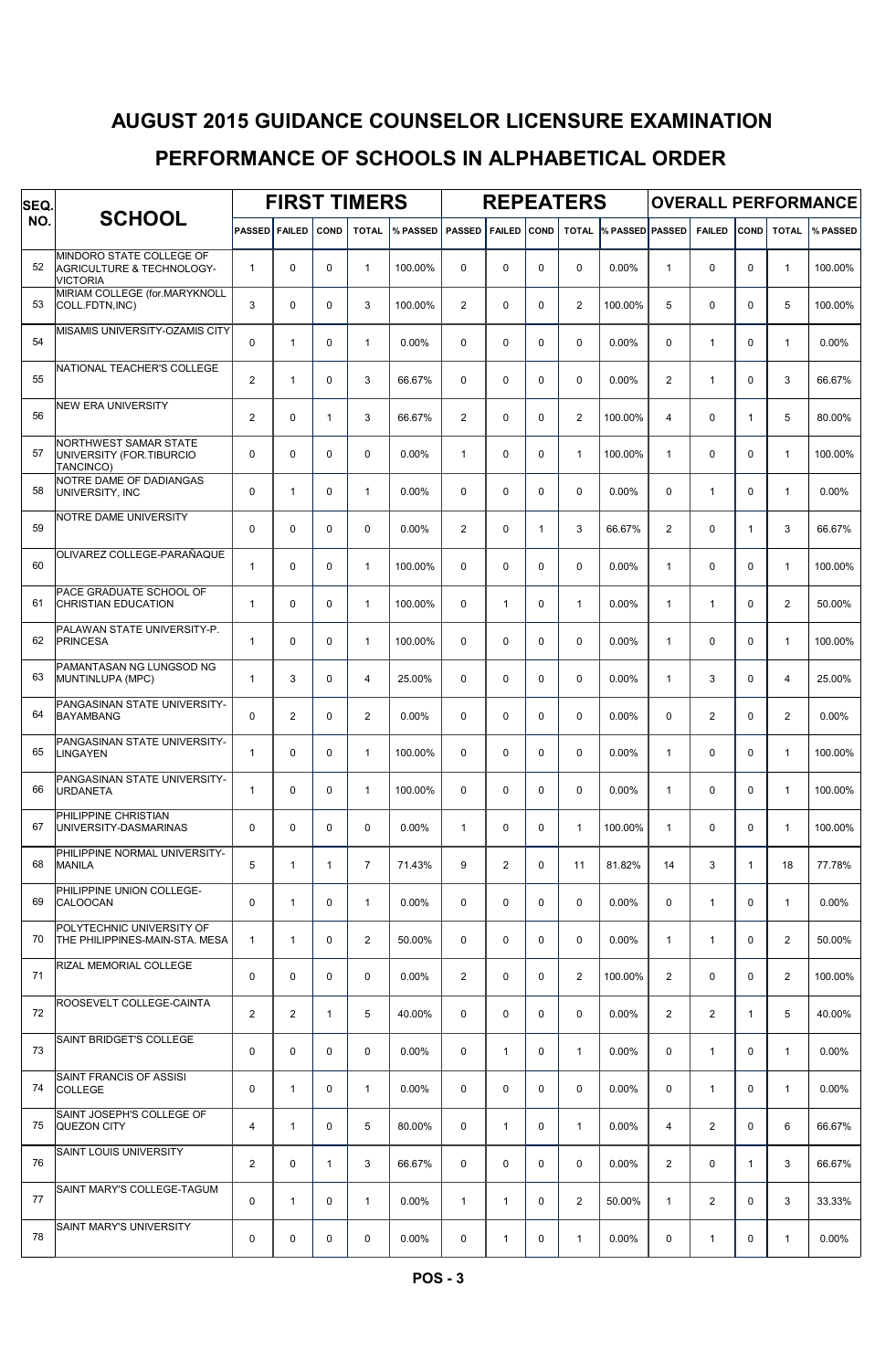| SEQ. | <b>SCHOOL</b>                                                            |                |                | <b>FIRST TIMERS</b> |                |          |                |               | <b>REPEATERS</b> |                | <b>OVERALL PERFORMANCE</b> |                |                |              |                |          |
|------|--------------------------------------------------------------------------|----------------|----------------|---------------------|----------------|----------|----------------|---------------|------------------|----------------|----------------------------|----------------|----------------|--------------|----------------|----------|
| NO.  |                                                                          | <b>PASSED</b>  | <b>FAILED</b>  | COND                | <b>TOTAL</b>   | % PASSED | <b>PASSED</b>  | <b>FAILED</b> | COND             | <b>TOTAL</b>   | <b>% PASSED PASSED</b>     |                | <b>FAILED</b>  | COND         | <b>TOTAL</b>   | % PASSED |
| 52   | MINDORO STATE COLLEGE OF<br>AGRICULTURE & TECHNOLOGY-<br><b>VICTORIA</b> | $\mathbf{1}$   | 0              | 0                   | $\mathbf{1}$   | 100.00%  | $\Omega$       | 0             | $\mathbf 0$      | 0              | 0.00%                      | $\mathbf{1}$   | $\mathbf 0$    | 0            | $\mathbf{1}$   | 100.00%  |
| 53   | MIRIAM COLLEGE (for.MARYKNOLL<br>COLL.FDTN, INC)                         | 3              | 0              | 0                   | 3              | 100.00%  | $\overline{2}$ | 0             | $\mathbf 0$      | 2              | 100.00%                    | 5              | 0              | 0            | 5              | 100.00%  |
| 54   | MISAMIS UNIVERSITY-OZAMIS CITY                                           | 0              | $\mathbf{1}$   | 0                   | $\mathbf{1}$   | 0.00%    | $\mathbf 0$    | 0             | $\mathbf 0$      | 0              | 0.00%                      | 0              | 1              | $\mathbf 0$  | $\mathbf{1}$   | 0.00%    |
| 55   | NATIONAL TEACHER'S COLLEGE                                               | 2              | $\mathbf{1}$   | 0                   | 3              | 66.67%   | $\mathbf 0$    | 0             | $\pmb{0}$        | 0              | 0.00%                      | $\overline{2}$ | $\mathbf{1}$   | 0            | 3              | 66.67%   |
| 56   | <b>NEW ERA UNIVERSITY</b>                                                | 2              | 0              | $\mathbf{1}$        | 3              | 66.67%   | $\overline{2}$ | 0             | $\mathbf 0$      | $\overline{2}$ | 100.00%                    | 4              | 0              | 1            | 5              | 80.00%   |
| 57   | NORTHWEST SAMAR STATE<br>UNIVERSITY (FOR.TIBURCIO<br>TANCINCO)           | $\mathbf 0$    | 0              | $\mathbf 0$         | $\Omega$       | 0.00%    | $\mathbf{1}$   | 0             | $\mathbf 0$      | $\mathbf{1}$   | 100.00%                    | $\mathbf{1}$   | 0              | $\Omega$     | 1              | 100.00%  |
| 58   | NOTRE DAME OF DADIANGAS<br>UNIVERSITY, INC                               | $\mathbf 0$    | $\mathbf{1}$   | 0                   | $\mathbf{1}$   | 0.00%    | $\mathbf 0$    | 0             | $\mathbf 0$      | 0              | 0.00%                      | 0              | $\mathbf{1}$   | $\Omega$     | 1              | 0.00%    |
| 59   | NOTRE DAME UNIVERSITY                                                    | $\mathbf 0$    | $\mathbf 0$    | 0                   | $\mathbf 0$    | 0.00%    | $\overline{2}$ | 0             | $\mathbf{1}$     | 3              | 66.67%                     | $\overline{2}$ | 0              | $\mathbf{1}$ | 3              | 66.67%   |
| 60   | OLIVAREZ COLLEGE-PARAÑAQUE                                               | $\mathbf{1}$   | 0              | 0                   | $\mathbf{1}$   | 100.00%  | $\mathbf 0$    | 0             | $\mathbf 0$      | 0              | 0.00%                      | $\mathbf{1}$   | $\mathbf 0$    | 0            | $\mathbf{1}$   | 100.00%  |
| 61   | PACE GRADUATE SCHOOL OF<br><b>CHRISTIAN EDUCATION</b>                    | $\mathbf{1}$   | $\mathbf 0$    | 0                   | $\mathbf{1}$   | 100.00%  | $\Omega$       | $\mathbf{1}$  | $\mathbf 0$      | $\mathbf{1}$   | 0.00%                      | $\mathbf{1}$   | $\mathbf{1}$   | 0            | 2              | 50.00%   |
| 62   | PALAWAN STATE UNIVERSITY-P.<br><b>PRINCESA</b>                           | $\mathbf{1}$   | 0              | 0                   | $\mathbf{1}$   | 100.00%  | $\Omega$       | 0             | $\mathbf 0$      | 0              | 0.00%                      | 1              | $\mathbf 0$    | $\mathbf 0$  | $\mathbf{1}$   | 100.00%  |
| 63   | PAMANTASAN NG LUNGSOD NG<br>MUNTINLUPA (MPC)                             | $\mathbf{1}$   | 3              | 0                   | $\overline{4}$ | 25.00%   | $\mathbf 0$    | 0             | $\mathbf 0$      | 0              | 0.00%                      | 1              | 3              | 0            | 4              | 25.00%   |
| 64   | PANGASINAN STATE UNIVERSITY-<br><b>BAYAMBANG</b>                         | $\mathbf 0$    | $\overline{2}$ | 0                   | 2              | 0.00%    | $\Omega$       | 0             | $\mathbf 0$      | 0              | 0.00%                      | 0              | $\overline{2}$ | $\Omega$     | $\overline{a}$ | 0.00%    |
| 65   | PANGASINAN STATE UNIVERSITY-<br><b>LINGAYEN</b>                          | $\mathbf{1}$   | 0              | 0                   | $\mathbf{1}$   | 100.00%  | $\Omega$       | 0             | $\mathbf 0$      | 0              | 0.00%                      | $\mathbf{1}$   | 0              | $\Omega$     | 1              | 100.00%  |
| 66   | PANGASINAN STATE UNIVERSITY-<br><b>URDANETA</b>                          | $\mathbf{1}$   | 0              | 0                   | $\mathbf{1}$   | 100.00%  | $\mathbf 0$    | 0             | $\mathbf 0$      | 0              | 0.00%                      | 1              | 0              | $\mathbf 0$  | $\mathbf{1}$   | 100.00%  |
| 67   | PHILIPPINE CHRISTIAN<br>UNIVERSITY-DASMARINAS                            | 0              | $\mathbf 0$    | 0                   | $\mathbf 0$    | 0.00%    | $\mathbf{1}$   | 0             | 0                | $\mathbf{1}$   | 100.00%                    | 1              | 0              | 0            | $\mathbf{1}$   | 100.00%  |
| 68   | PHILIPPINE NORMAL UNIVERSITY-<br><b>MANILA</b>                           | 5              | $\mathbf{1}$   | $\mathbf{1}$        | $\overline{7}$ | 71.43%   | 9              | 2             | $\pmb{0}$        | 11             | 81.82%                     | 14             | 3              | 1            | 18             | 77.78%   |
| 69   | PHILIPPINE UNION COLLEGE-<br><b>CALOOCAN</b>                             | $\mathbf 0$    | $\mathbf{1}$   | 0                   | $\mathbf{1}$   | 0.00%    | $\Omega$       | 0             | $\mathbf 0$      | 0              | $0.00\%$                   | 0              | $\mathbf{1}$   | 0            | $\mathbf{1}$   | 0.00%    |
| 70   | POLYTECHNIC UNIVERSITY OF<br>THE PHILIPPINES-MAIN-STA. MESA              | $\mathbf{1}$   | $\mathbf{1}$   | 0                   | $\overline{2}$ | 50.00%   | $\mathbf 0$    | 0             | $\mathbf 0$      | 0              | $0.00\%$                   | $\mathbf{1}$   | $\mathbf{1}$   | $\mathbf 0$  | $\overline{2}$ | 50.00%   |
| 71   | RIZAL MEMORIAL COLLEGE                                                   | $\mathbf 0$    | 0              | $\mathbf 0$         | $\mathbf 0$    | $0.00\%$ | $\overline{2}$ | 0             | $\mathbf 0$      | $\overline{2}$ | 100.00%                    | $\overline{2}$ | 0              | $\mathbf 0$  | $\overline{2}$ | 100.00%  |
| 72   | ROOSEVELT COLLEGE-CAINTA                                                 | 2              | $\mathbf{2}$   | $\mathbf{1}$        | 5              | 40.00%   | $\Omega$       | 0             | $\mathbf 0$      | $\mathbf 0$    | $0.00\%$                   | $\overline{2}$ | 2              | $\mathbf{1}$ | 5              | 40.00%   |
| 73   | SAINT BRIDGET'S COLLEGE                                                  | 0              | 0              | 0                   | $\mathbf 0$    | 0.00%    | $\mathbf 0$    | $\mathbf{1}$  | 0                | $\mathbf{1}$   | $0.00\%$                   | 0              | $\mathbf{1}$   | $\mathbf 0$  | $\mathbf{1}$   | 0.00%    |
| 74   | SAINT FRANCIS OF ASSISI<br><b>COLLEGE</b>                                | 0              | 1              | 0                   | $\mathbf{1}$   | 0.00%    | $\mathbf 0$    | 0             | $\pmb{0}$        | 0              | 0.00%                      | $\mathbf 0$    | $\mathbf{1}$   | $\mathbf 0$  | $\mathbf{1}$   | 0.00%    |
| 75   | SAINT JOSEPH'S COLLEGE OF<br><b>QUEZON CITY</b>                          | 4              | $\mathbf{1}$   | 0                   | 5              | 80.00%   | $\mathbf 0$    | 1             | 0                | 1              | $0.00\%$                   | 4              | 2              | $\mathbf 0$  | 6              | 66.67%   |
| 76   | SAINT LOUIS UNIVERSITY                                                   | $\overline{2}$ | $\mathbf 0$    | $\mathbf{1}$        | 3              | 66.67%   | $\Omega$       | 0             | $\mathbf 0$      | $\mathbf 0$    | $0.00\%$                   | $\overline{2}$ | $\mathbf 0$    | 1            | 3              | 66.67%   |
| 77   | SAINT MARY'S COLLEGE-TAGUM                                               | $\mathbf 0$    | $\mathbf{1}$   | 0                   | $\mathbf{1}$   | $0.00\%$ | $\mathbf{1}$   | $\mathbf{1}$  | $\mathbf 0$      | 2              | 50.00%                     | $\mathbf{1}$   | 2              | $\Omega$     | 3              | 33.33%   |
| 78   | SAINT MARY'S UNIVERSITY                                                  | 0              | 0              | 0                   | 0              | 0.00%    | 0              | 1             | 0                | 1              | 0.00%                      | 0              | $\mathbf{1}$   | 0            | $\mathbf{1}$   | 0.00%    |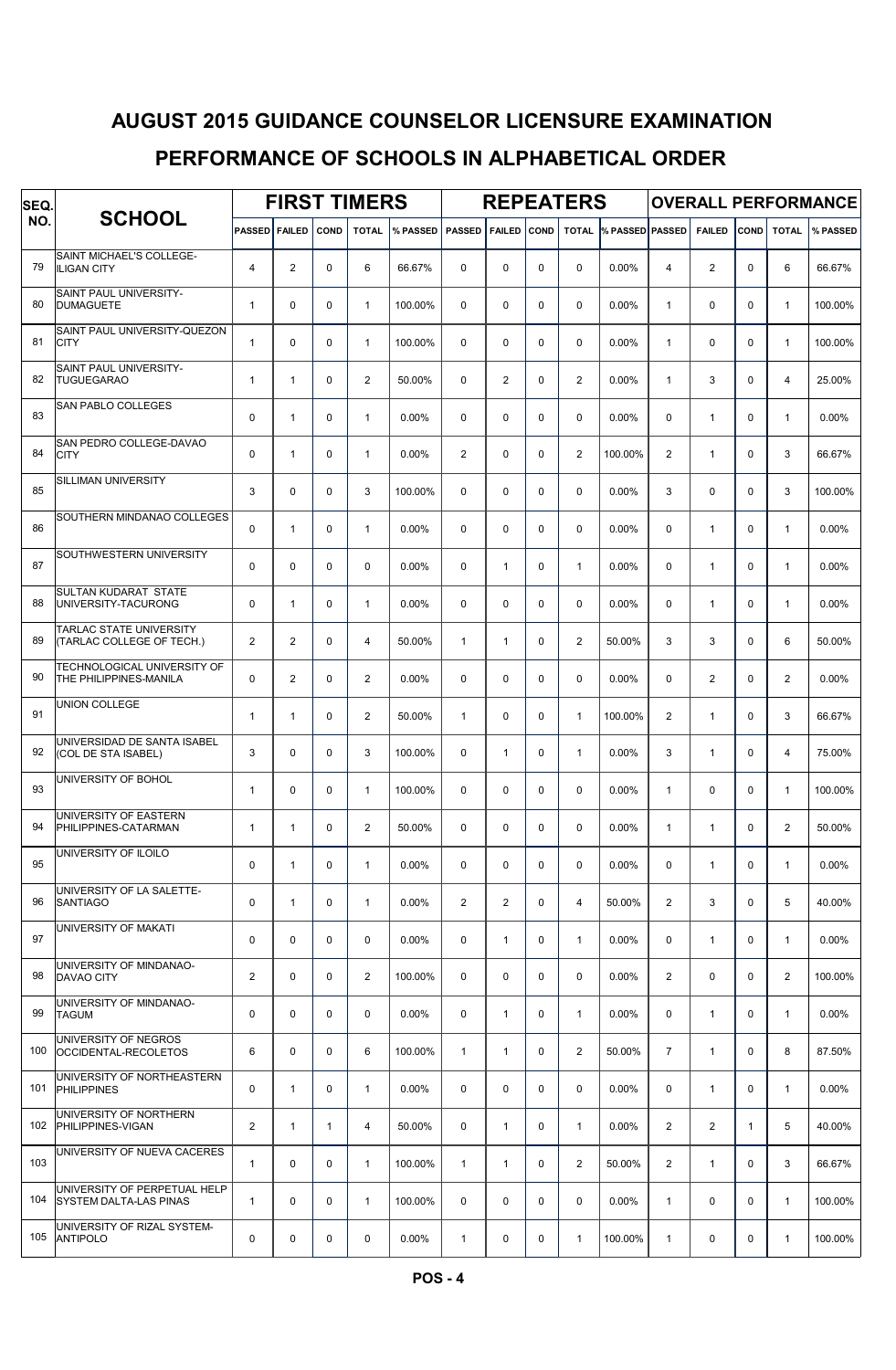| SEQ. |                                                               | <b>FIRST TIMERS</b> |                |              |                |          |                |               |             | <b>REPEATERS</b>        |                        | <b>OVERALL PERFORMANCE</b> |                |             |                |          |  |
|------|---------------------------------------------------------------|---------------------|----------------|--------------|----------------|----------|----------------|---------------|-------------|-------------------------|------------------------|----------------------------|----------------|-------------|----------------|----------|--|
| NO.  | <b>SCHOOL</b>                                                 | <b>PASSED</b>       | <b>FAILED</b>  | COND         | <b>TOTAL</b>   | % PASSED | <b>PASSED</b>  | <b>FAILED</b> | COND        | <b>TOTAL</b>            | <b>% PASSED PASSED</b> |                            | <b>FAILED</b>  | COND        | <b>TOTAL</b>   | % PASSED |  |
| 79   | SAINT MICHAEL'S COLLEGE-<br><b>ILIGAN CITY</b>                | $\overline{4}$      | $\mathbf{2}$   | 0            | 6              | 66.67%   | $\Omega$       | 0             | $\mathbf 0$ | 0                       | 0.00%                  | 4                          | $\overline{2}$ | $\mathbf 0$ | 6              | 66.67%   |  |
| 80   | SAINT PAUL UNIVERSITY-<br><b>DUMAGUETE</b>                    | $\mathbf{1}$        | 0              | 0            | $\mathbf{1}$   | 100.00%  | $\Omega$       | 0             | $\mathbf 0$ | 0                       | 0.00%                  | $\mathbf{1}$               | 0              | $\mathbf 0$ | $\mathbf{1}$   | 100.00%  |  |
| 81   | SAINT PAUL UNIVERSITY-QUEZON<br><b>CITY</b>                   | $\mathbf{1}$        | 0              | 0            | $\mathbf{1}$   | 100.00%  | $\mathbf 0$    | 0             | $\mathbf 0$ | 0                       | 0.00%                  | $\mathbf{1}$               | $\pmb{0}$      | $\mathbf 0$ | $\mathbf{1}$   | 100.00%  |  |
| 82   | SAINT PAUL UNIVERSITY-<br><b>TUGUEGARAO</b>                   | $\mathbf{1}$        | $\mathbf{1}$   | 0            | $\overline{2}$ | 50.00%   | $\mathbf 0$    | 2             | $\pmb{0}$   | $\overline{\mathbf{c}}$ | 0.00%                  | $\mathbf{1}$               | 3              | 0           | 4              | 25.00%   |  |
| 83   | SAN PABLO COLLEGES                                            | $\mathbf 0$         | $\mathbf{1}$   | 0            | $\mathbf{1}$   | 0.00%    | $\Omega$       | 0             | $\mathbf 0$ | 0                       | 0.00%                  | 0                          | $\mathbf{1}$   | $\Omega$    | $\mathbf{1}$   | 0.00%    |  |
| 84   | SAN PEDRO COLLEGE-DAVAO<br><b>CITY</b>                        | $\mathbf 0$         | $\mathbf{1}$   | $\mathbf 0$  | $\mathbf{1}$   | 0.00%    | $\overline{2}$ | 0             | $\mathbf 0$ | $\overline{c}$          | 100.00%                | $\overline{2}$             | $\mathbf{1}$   | $\Omega$    | 3              | 66.67%   |  |
| 85   | SILLIMAN UNIVERSITY                                           | 3                   | 0              | 0            | 3              | 100.00%  | $\Omega$       | 0             | $\mathbf 0$ | 0                       | 0.00%                  | 3                          | $\mathbf 0$    | $\Omega$    | 3              | 100.00%  |  |
| 86   | SOUTHERN MINDANAO COLLEGES                                    | $\mathbf 0$         | $\mathbf{1}$   | 0            | $\mathbf{1}$   | 0.00%    | $\mathbf 0$    | 0             | $\mathbf 0$ | $\mathbf 0$             | $0.00\%$               | $\mathbf 0$                | $\mathbf{1}$   | $\mathbf 0$ | $\mathbf{1}$   | 0.00%    |  |
| 87   | SOUTHWESTERN UNIVERSITY                                       | $\mathbf 0$         | 0              | 0            | $\mathbf 0$    | 0.00%    | $\mathbf 0$    | $\mathbf{1}$  | $\mathbf 0$ | $\mathbf{1}$            | 0.00%                  | 0                          | $\mathbf{1}$   | 0           | $\mathbf{1}$   | 0.00%    |  |
| 88   | <b>SULTAN KUDARAT STATE</b><br>UNIVERSITY-TACURONG            | 0                   | $\mathbf{1}$   | 0            | $\mathbf{1}$   | 0.00%    | $\Omega$       | 0             | 0           | 0                       | 0.00%                  | 0                          | $\mathbf{1}$   | 0           | $\mathbf{1}$   | $0.00\%$ |  |
| 89   | TARLAC STATE UNIVERSITY<br>(TARLAC COLLEGE OF TECH.)          | 2                   | $\mathbf{2}$   | 0            | 4              | 50.00%   | $\mathbf{1}$   | $\mathbf{1}$  | $\mathbf 0$ | 2                       | 50.00%                 | 3                          | 3              | $\mathbf 0$ | 6              | 50.00%   |  |
| 90   | TECHNOLOGICAL UNIVERSITY OF<br>THE PHILIPPINES-MANILA         | 0                   | $\overline{2}$ | 0            | 2              | $0.00\%$ | $\Omega$       | 0             | $\mathbf 0$ | 0                       | $0.00\%$               | 0                          | $\overline{2}$ | 0           | $\overline{2}$ | $0.00\%$ |  |
| 91   | UNION COLLEGE                                                 | $\mathbf{1}$        | $\mathbf{1}$   | 0            | 2              | 50.00%   | $\mathbf{1}$   | 0             | $\mathbf 0$ | $\mathbf{1}$            | 100.00%                | $\overline{2}$             | $\mathbf{1}$   | $\Omega$    | 3              | 66.67%   |  |
| 92   | UNIVERSIDAD DE SANTA ISABEL<br>(COL DE STA ISABEL)            | 3                   | 0              | 0            | 3              | 100.00%  | $\Omega$       | $\mathbf{1}$  | $\mathbf 0$ | $\mathbf{1}$            | 0.00%                  | 3                          | $\mathbf{1}$   | $\Omega$    | 4              | 75.00%   |  |
| 93   | UNIVERSITY OF BOHOL                                           | $\mathbf{1}$        | 0              | 0            | $\mathbf{1}$   | 100.00%  | $\mathbf 0$    | 0             | $\mathbf 0$ | 0                       | 0.00%                  | $\mathbf{1}$               | $\mathbf 0$    | $\mathbf 0$ | $\mathbf{1}$   | 100.00%  |  |
| 94   | UNIVERSITY OF EASTERN<br><b>PHILIPPINES-CATARMAN</b>          | $\mathbf{1}$        | 1              | $\mathbf 0$  | $\overline{2}$ | 50.00%   | 0              | 0             | 0           | 0                       | 0.00%                  | 1                          | 1              | 0           | $\overline{2}$ | 50.00%   |  |
| 95   | UNIVERSITY OF ILOILO                                          | $\mathbf 0$         | $\mathbf{1}$   | 0            | $\mathbf{1}$   | 0.00%    | $\mathbf 0$    | 0             | $\pmb{0}$   | 0                       | $0.00\%$               | 0                          | $\mathbf{1}$   | $\mathbf 0$ | $\mathbf{1}$   | 0.00%    |  |
| 96   | UNIVERSITY OF LA SALETTE-<br><b>SANTIAGO</b>                  | 0                   | $\mathbf{1}$   | 0            | $\mathbf{1}$   | 0.00%    | $\overline{2}$ | 2             | 0           | 4                       | 50.00%                 | $\overline{c}$             | 3              | 0           | 5              | 40.00%   |  |
| 97   | UNIVERSITY OF MAKATI                                          | $\mathbf 0$         | 0              | 0            | $\mathbf 0$    | 0.00%    | $\mathbf 0$    | $\mathbf{1}$  | $\mathbf 0$ | $\mathbf{1}$            | $0.00\%$               | 0                          | $\mathbf{1}$   | $\mathbf 0$ | $\mathbf{1}$   | 0.00%    |  |
| 98   | UNIVERSITY OF MINDANAO-<br><b>DAVAO CITY</b>                  | $\overline{2}$      | 0              | $\mathbf 0$  | $\overline{2}$ | 100.00%  | $\mathbf 0$    | 0             | $\mathbf 0$ | $\mathbf 0$             | $0.00\%$               | $\overline{2}$             | 0              | $\mathbf 0$ | $\overline{2}$ | 100.00%  |  |
| 99   | UNIVERSITY OF MINDANAO-<br><b>TAGUM</b>                       | $\mathbf 0$         | 0              | 0            | $\mathbf 0$    | 0.00%    | $\mathbf 0$    | $\mathbf{1}$  | $\pmb{0}$   | $\mathbf{1}$            | $0.00\%$               | 0                          | $\mathbf{1}$   | 0           | $\mathbf{1}$   | 0.00%    |  |
| 100  | UNIVERSITY OF NEGROS<br>OCCIDENTAL-RECOLETOS                  | 6                   | 0              | 0            | 6              | 100.00%  | $\mathbf{1}$   | $\mathbf{1}$  | 0           | 2                       | 50.00%                 | $\overline{7}$             | $\mathbf{1}$   | $\mathbf 0$ | 8              | 87.50%   |  |
| 101  | UNIVERSITY OF NORTHEASTERN<br><b>PHILIPPINES</b>              | 0                   | 1              | 0            | $\mathbf{1}$   | 0.00%    | $\mathbf 0$    | 0             | $\pmb{0}$   | 0                       | 0.00%                  | 0                          | $\mathbf{1}$   | $\mathbf 0$ | $\mathbf{1}$   | 0.00%    |  |
| 102  | UNIVERSITY OF NORTHERN<br>PHILIPPINES-VIGAN                   | 2                   | 1              | $\mathbf{1}$ | 4              | 50.00%   | $\mathbf 0$    | $\mathbf{1}$  | 0           | 1                       | $0.00\%$               | $\overline{c}$             | $\overline{2}$ | 1           | 5              | 40.00%   |  |
| 103  | UNIVERSITY OF NUEVA CACERES                                   | $\mathbf{1}$        | 0              | 0            | $\mathbf{1}$   | 100.00%  | $\mathbf{1}$   | $\mathbf{1}$  | $\mathbf 0$ | $\overline{\mathbf{c}}$ | 50.00%                 | $\overline{2}$             | $\mathbf{1}$   | 0           | 3              | 66.67%   |  |
| 104  | UNIVERSITY OF PERPETUAL HELP<br><b>SYSTEM DALTA-LAS PINAS</b> | $\mathbf{1}$        | 0              | 0            | $\mathbf{1}$   | 100.00%  | $\Omega$       | 0             | $\mathbf 0$ | 0                       | $0.00\%$               | $\mathbf{1}$               | 0              | $\mathbf 0$ | $\mathbf{1}$   | 100.00%  |  |
| 105  | UNIVERSITY OF RIZAL SYSTEM-<br><b>ANTIPOLO</b>                | 0                   | 0              | 0            | 0              | 0.00%    | $\mathbf{1}$   | 0             | 0           | 1                       | 100.00%                | 1                          | 0              | 0           | $\mathbf{1}$   | 100.00%  |  |